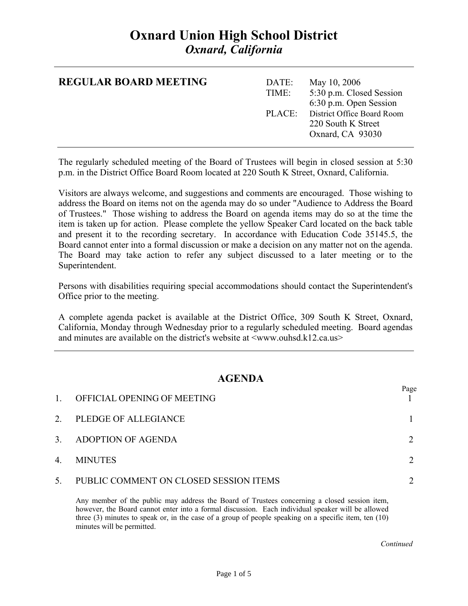# **Oxnard Union High School District**  *Oxnard, California*

| <b>REGULAR BOARD MEETING</b> | DATE:<br>TIME: | May 10, 2006<br>5:30 p.m. Closed Session<br>6:30 p.m. Open Session          |
|------------------------------|----------------|-----------------------------------------------------------------------------|
|                              |                | PLACE: District Office Board Room<br>220 South K Street<br>Oxnard, CA 93030 |

The regularly scheduled meeting of the Board of Trustees will begin in closed session at 5:30 p.m. in the District Office Board Room located at 220 South K Street, Oxnard, California.

Visitors are always welcome, and suggestions and comments are encouraged. Those wishing to address the Board on items not on the agenda may do so under "Audience to Address the Board of Trustees." Those wishing to address the Board on agenda items may do so at the time the item is taken up for action. Please complete the yellow Speaker Card located on the back table and present it to the recording secretary. In accordance with Education Code 35145.5, the Board cannot enter into a formal discussion or make a decision on any matter not on the agenda. The Board may take action to refer any subject discussed to a later meeting or to the Superintendent.

Persons with disabilities requiring special accommodations should contact the Superintendent's Office prior to the meeting.

A complete agenda packet is available at the District Office, 309 South K Street, Oxnard, California, Monday through Wednesday prior to a regularly scheduled meeting. Board agendas and minutes are available on the district's website at  $\langle$ www.ouhsd.k12.ca.us $>$ 

### **AGENDA**

| $\mathbf{1}$ | OFFICIAL OPENING OF MEETING            | Page |
|--------------|----------------------------------------|------|
| 2.           | PLEDGE OF ALLEGIANCE                   |      |
| 3.           | ADOPTION OF AGENDA                     |      |
| 4.           | <b>MINUTES</b>                         |      |
| 5.           | PUBLIC COMMENT ON CLOSED SESSION ITEMS |      |

Any member of the public may address the Board of Trustees concerning a closed session item, however, the Board cannot enter into a formal discussion. Each individual speaker will be allowed three (3) minutes to speak or, in the case of a group of people speaking on a specific item, ten (10) minutes will be permitted.

*Continued Continued*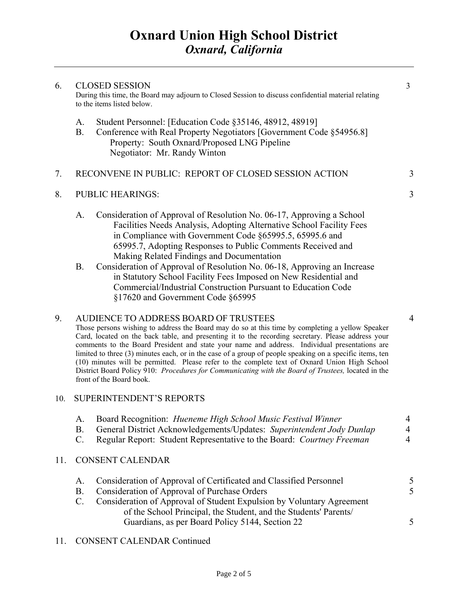6. CLOSED SESSION 3 During this time, the Board may adjourn to Closed Session to discuss confidential material relating

7. RECONVENE IN PUBLIC: REPORT OF CLOSED SESSION ACTION 3

B. Conference with Real Property Negotiators [Government Code §54956.8]

A. Student Personnel: [Education Code §35146, 48912, 48919]

Property: South Oxnard/Proposed LNG Pipeline

Negotiator: Mr. Randy Winton

Page 2 of 5

# 8. PUBLIC HEARINGS: 3

to the items listed below.

- A. Consideration of Approval of Resolution No. 06-17, Approving a School Facilities Needs Analysis, Adopting Alternative School Facility Fees in Compliance with Government Code §65995.5, 65995.6 and 65995.7, Adopting Responses to Public Comments Received and Making Related Findings and Documentation
- B. Consideration of Approval of Resolution No. 06-18, Approving an Increase in Statutory School Facility Fees Imposed on New Residential and Commercial/Industrial Construction Pursuant to Education Code §17620 and Government Code §65995

#### 9. AUDIENCE TO ADDRESS BOARD OF TRUSTEES 4

Those persons wishing to address the Board may do so at this time by completing a yellow Speaker Card, located on the back table, and presenting it to the recording secretary. Please address your comments to the Board President and state your name and address. Individual presentations are limited to three (3) minutes each, or in the case of a group of people speaking on a specific items, ten (10) minutes will be permitted. Please refer to the complete text of Oxnard Union High School District Board Policy 910: *Procedures for Communicating with the Board of Trustees,* located in the front of the Board book.

#### 10. SUPERINTENDENT'S REPORTS

|    | Regular Report: Student Representative to the Board: Courtney Freeman                                                                     |               |
|----|-------------------------------------------------------------------------------------------------------------------------------------------|---------------|
|    | 11. CONSENT CALENDAR                                                                                                                      |               |
| А. | Consideration of Approval of Certificated and Classified Personnel                                                                        |               |
| В. | Consideration of Approval of Purchase Orders                                                                                              | $\mathcal{F}$ |
| C. | Consideration of Approval of Student Expulsion by Voluntary Agreement<br>of the School Principal, the Student, and the Students' Parents/ |               |
|    | Guardians, as per Board Policy 5144, Section 22                                                                                           |               |
|    |                                                                                                                                           |               |

A. Board Recognition: *Hueneme High School Music Festival Winner* 4 B. General District Acknowledgements/Updates: *Superintendent Jody Dunlap* 4

#### 11. CONSENT CALENDAR Continued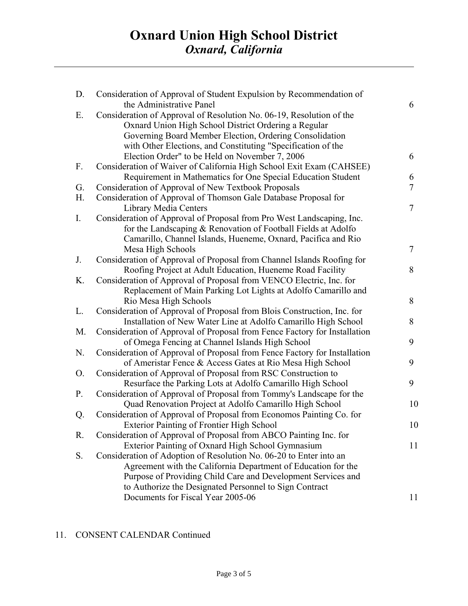| D.             | Consideration of Approval of Student Expulsion by Recommendation of<br>the Administrative Panel | 6  |
|----------------|-------------------------------------------------------------------------------------------------|----|
| Ε.             | Consideration of Approval of Resolution No. 06-19, Resolution of the                            |    |
|                | Oxnard Union High School District Ordering a Regular                                            |    |
|                | Governing Board Member Election, Ordering Consolidation                                         |    |
|                | with Other Elections, and Constituting "Specification of the                                    |    |
|                | Election Order" to be Held on November 7, 2006                                                  | 6  |
| F.             | Consideration of Waiver of California High School Exit Exam (CAHSEE)                            |    |
|                | Requirement in Mathematics for One Special Education Student                                    | 6  |
| G.             | Consideration of Approval of New Textbook Proposals                                             | 7  |
| H.             | Consideration of Approval of Thomson Gale Database Proposal for                                 |    |
|                | Library Media Centers                                                                           | 7  |
| $\mathbf{I}$ . | Consideration of Approval of Proposal from Pro West Landscaping, Inc.                           |    |
|                | for the Landscaping & Renovation of Football Fields at Adolfo                                   |    |
|                | Camarillo, Channel Islands, Hueneme, Oxnard, Pacifica and Rio                                   |    |
|                | Mesa High Schools                                                                               | 7  |
| J.             | Consideration of Approval of Proposal from Channel Islands Roofing for                          |    |
|                | Roofing Project at Adult Education, Hueneme Road Facility                                       | 8  |
| K.             | Consideration of Approval of Proposal from VENCO Electric, Inc. for                             |    |
|                | Replacement of Main Parking Lot Lights at Adolfo Camarillo and                                  |    |
|                | Rio Mesa High Schools                                                                           | 8  |
| L.             | Consideration of Approval of Proposal from Blois Construction, Inc. for                         |    |
|                | Installation of New Water Line at Adolfo Camarillo High School                                  | 8  |
| M.             | Consideration of Approval of Proposal from Fence Factory for Installation                       |    |
|                | of Omega Fencing at Channel Islands High School                                                 | 9  |
| N.             | Consideration of Approval of Proposal from Fence Factory for Installation                       |    |
|                | of Ameristar Fence & Access Gates at Rio Mesa High School                                       | 9  |
| O.             | Consideration of Approval of Proposal from RSC Construction to                                  |    |
|                | Resurface the Parking Lots at Adolfo Camarillo High School                                      | 9  |
| $P_{\cdot}$    | Consideration of Approval of Proposal from Tommy's Landscape for the                            |    |
|                | Quad Renovation Project at Adolfo Camarillo High School                                         | 10 |
| Q.             | Consideration of Approval of Proposal from Economos Painting Co. for                            |    |
|                | <b>Exterior Painting of Frontier High School</b>                                                | 10 |
| R.             | Consideration of Approval of Proposal from ABCO Painting Inc. for                               |    |
|                | Exterior Painting of Oxnard High School Gymnasium                                               | 11 |
| S.             | Consideration of Adoption of Resolution No. 06-20 to Enter into an                              |    |
|                | Agreement with the California Department of Education for the                                   |    |
|                | Purpose of Providing Child Care and Development Services and                                    |    |
|                | to Authorize the Designated Personnel to Sign Contract                                          |    |
|                | Documents for Fiscal Year 2005-06                                                               | 11 |
|                |                                                                                                 |    |

## 11. CONSENT CALENDAR Continued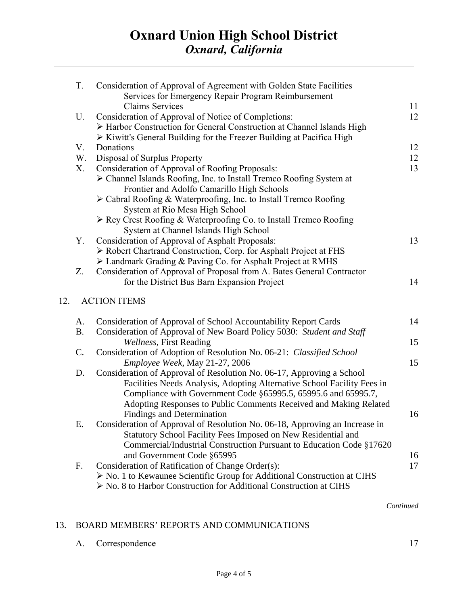| T.        | Consideration of Approval of Agreement with Golden State Facilities<br>Services for Emergency Repair Program Reimbursement                                    |    |
|-----------|---------------------------------------------------------------------------------------------------------------------------------------------------------------|----|
|           | <b>Claims Services</b>                                                                                                                                        | 11 |
| U.        | Consideration of Approval of Notice of Completions:                                                                                                           | 12 |
|           | > Harbor Construction for General Construction at Channel Islands High                                                                                        |    |
|           | $\triangleright$ Kiwitt's General Building for the Freezer Building at Pacifica High                                                                          |    |
| V.        | Donations                                                                                                                                                     | 12 |
| W.        | Disposal of Surplus Property                                                                                                                                  | 12 |
| X.        | Consideration of Approval of Roofing Proposals:                                                                                                               | 13 |
|           | > Channel Islands Roofing, Inc. to Install Tremco Roofing System at                                                                                           |    |
|           | Frontier and Adolfo Camarillo High Schools                                                                                                                    |    |
|           | $\triangleright$ Cabral Roofing & Waterproofing, Inc. to Install Tremco Roofing                                                                               |    |
|           | System at Rio Mesa High School                                                                                                                                |    |
|           | $\triangleright$ Rey Crest Roofing & Waterproofing Co. to Install Tremco Roofing                                                                              |    |
|           | System at Channel Islands High School                                                                                                                         |    |
| Υ.        | Consideration of Approval of Asphalt Proposals:                                                                                                               | 13 |
|           | > Robert Chartrand Construction, Corp. for Asphalt Project at FHS                                                                                             |    |
|           | > Landmark Grading & Paving Co. for Asphalt Project at RMHS                                                                                                   |    |
| Z.        | Consideration of Approval of Proposal from A. Bates General Contractor<br>for the District Bus Barn Expansion Project                                         | 14 |
| 12.       | <b>ACTION ITEMS</b>                                                                                                                                           |    |
| A.        | Consideration of Approval of School Accountability Report Cards                                                                                               | 14 |
| <b>B.</b> | Consideration of Approval of New Board Policy 5030: Student and Staff                                                                                         |    |
|           | Wellness, First Reading                                                                                                                                       | 15 |
| C.        | Consideration of Adoption of Resolution No. 06-21: Classified School                                                                                          |    |
|           | Employee Week, May 21-27, 2006                                                                                                                                | 15 |
| D.        | Consideration of Approval of Resolution No. 06-17, Approving a School                                                                                         |    |
|           | Facilities Needs Analysis, Adopting Alternative School Facility Fees in                                                                                       |    |
|           | Compliance with Government Code §65995.5, 65995.6 and 65995.7,                                                                                                |    |
|           | Adopting Responses to Public Comments Received and Making Related                                                                                             |    |
|           | Findings and Determination                                                                                                                                    | 16 |
| Е.        | Consideration of Approval of Resolution No. 06-18, Approving an Increase in                                                                                   |    |
|           | Statutory School Facility Fees Imposed on New Residential and                                                                                                 |    |
|           | Commercial/Industrial Construction Pursuant to Education Code §17620                                                                                          |    |
|           | and Government Code §65995                                                                                                                                    | 16 |
| F.        | Consideration of Ratification of Change Order(s):                                                                                                             | 17 |
|           | $\triangleright$ No. 1 to Kewaunee Scientific Group for Additional Construction at CIHS<br>> No. 8 to Harbor Construction for Additional Construction at CIHS |    |
|           |                                                                                                                                                               |    |
|           |                                                                                                                                                               |    |

 *Continued* 

## 13. BOARD MEMBERS' REPORTS AND COMMUNICATIONS

A. Correspondence 17